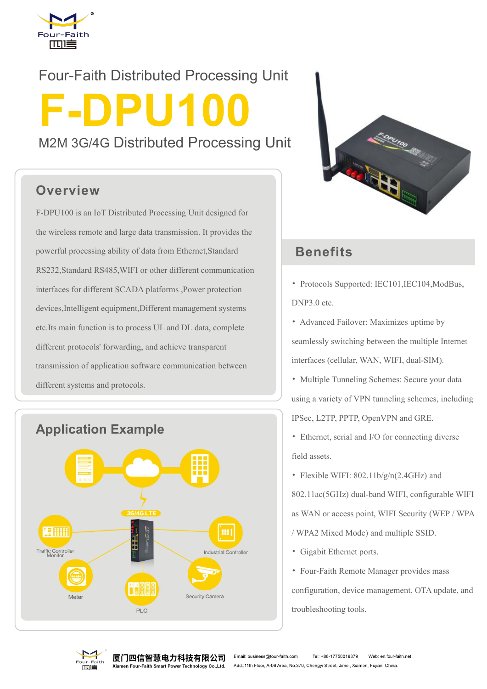

# Four-Faith Distributed Processing Unit M2M 3G/4G Distributed Processing Unit

#### **Overview**

F-DPU100 is an IoT Distributed Processing Unit designed for the wireless remote and large data transmission. It provides the powerful processing ability of data from Ethernet,Standard RS232,Standard RS485,WIFI or other different communication interfaces for different SCADA platforms ,Power protection devices,Intelligent equipment,Different management systems etc.Its main function is to process UL and DL data, complete different protocols' forwarding, and achieve transparent transmission of application software communication between different systems and protocols.





#### **Benefits**

- Protocols Supported: IEC101,IEC104,ModBus, DNP3.0 etc.
- Advanced Failover: Maximizes uptime by seamlessly switching between the multiple Internet interfaces (cellular, WAN, WIFI, dual-SIM).
- Multiple Tunneling Schemes: Secure your data using a variety of VPN tunneling schemes, including IPSec, L2TP, PPTP, OpenVPN and GRE.
- Ethernet, serial and I/O for connecting diverse field assets.
- Flexible WIFI: 802.11b/g/n(2.4GHz) and

802.11ac(5GHz) dual-band WIFI, configurable WIFI as WAN or access point, WIFI Security (WEP / WPA / WPA2 Mixed Mode) and multiple SSID.

- Gigabit Ethernet ports.
- Four-Faith Remote Manager provides mass configuration, device management, OTA update, and troubleshooting tools.



厦门四信智慧电力科技有限公司 nen Four-Faith Smart Power Technology Co.,Ltd.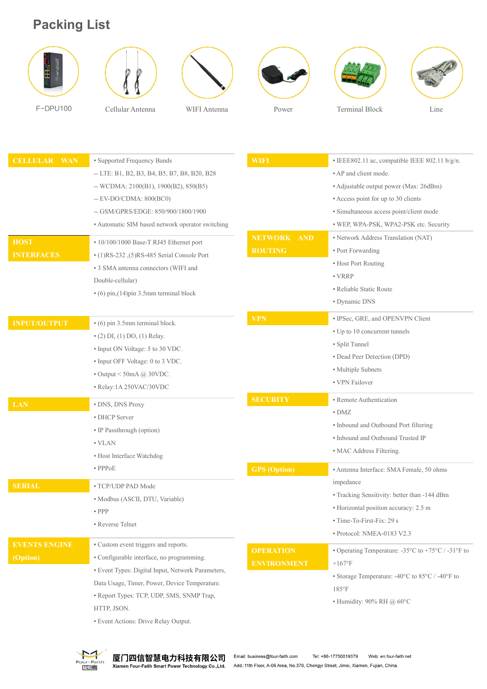## **Packing List**













F-DPU100 Cellular Antenna WIFI Antenna Power Terminal Block Line

| <b>CELLULAR WAN</b>  | • Supported Frequency Bands                       | <b>WIFI</b>                  | · IEEE802.11 ac, compatible IEEE 802.11 b/g/n.                                   |
|----------------------|---------------------------------------------------|------------------------------|----------------------------------------------------------------------------------|
|                      | -- LTE: B1, B2, B3, B4, B5, B7, B8, B20, B28      |                              | • AP and client mode.                                                            |
|                      | -- WCDMA: $2100(B1)$ , $1900(B2)$ , $850(B5)$     |                              | • Adjustable output power (Max: 26dBm)                                           |
|                      | $-EV-DO/CDMA: 800(BC0)$                           |                              | • Access point for up to 30 clients                                              |
|                      | -- GSM/GPRS/EDGE: 850/900/1800/1900               |                              | · Simultaneous access point/client mode                                          |
|                      | • Automatic SIM based network operator switching  |                              | · WEP, WPA-PSK, WPA2-PSK etc. Security                                           |
| <b>HOST</b>          | • 10/100/1000 Base-T RJ45 Ethernet port           | <b>NETWORK</b><br><b>AND</b> | • Network Address Translation (NAT)                                              |
| <b>INTERFACES</b>    | $(1)RS-232$ , $(5)RS-485$ Serial Console Port     | <b>ROUTING</b>               | • Port Forwarding                                                                |
|                      | • 3 SMA antenna connectors (WIFI and              |                              | • Host Port Routing                                                              |
|                      | Double-cellular)                                  |                              | $\cdot$ VRRP                                                                     |
|                      | $\cdot$ (6) pin, (14) pin 3.5mm terminal block    |                              | • Reliable Static Route                                                          |
|                      |                                                   |                              | • Dynamic DNS                                                                    |
| <b>INPUT/OUTPUT</b>  | • (6) pin 3.5mm terminal block.                   | <b>VPN</b>                   | · IPSec, GRE, and OPENVPN Client                                                 |
|                      | $\bullet$ (2) DI, (1) DO, (1) Relay.              |                              | • Up to 10 concurrent tunnels                                                    |
|                      | • Input ON Voltage: 5 to 30 VDC.                  |                              | • Split Tunnel                                                                   |
|                      | • Input OFF Voltage: 0 to 3 VDC.                  |                              | • Dead Peer Detection (DPD)                                                      |
|                      | $\bullet$ Output < 50mA @ 30VDC.                  |                              | • Multiple Subnets                                                               |
|                      | · Relay:1A 250VAC/30VDC                           |                              | • VPN Failover                                                                   |
|                      |                                                   | <b>SECURITY</b>              | • Remote Authentication                                                          |
| <b>LAN</b>           | • DNS, DNS Proxy                                  |                              | $\bullet$ DMZ                                                                    |
|                      | • DHCP Server                                     |                              | • Inbound and Outbound Port filtering                                            |
|                      | • IP Passthrough (option)                         |                              | • Inbound and Outbound Trusted IP                                                |
|                      | $\cdot$ VLAN                                      |                              | • MAC Address Filtering.                                                         |
|                      | • Host Interface Watchdog                         |                              |                                                                                  |
|                      | $\bullet$ PPP <sub>oE</sub>                       | <b>GPS</b> (Option)          | • Antenna Interface: SMA Female, 50 ohms                                         |
| <b>SERIAL</b>        | • TCP/UDP PAD Mode                                |                              | impedance                                                                        |
|                      | · Modbus (ASCII, DTU, Variable)                   |                              | • Tracking Sensitivity: better than -144 dBm                                     |
|                      | $\bullet$ PPP                                     |                              | • Horizontal position accuracy: 2.5 m                                            |
|                      | • Reverse Telnet                                  |                              | • Time-To-First-Fix: 29 s                                                        |
|                      |                                                   |                              | · Protocol: NMEA-0183 V2.3                                                       |
| <b>EVENTS ENGINE</b> | • Custom event triggers and reports.              | <b>OPERATION</b>             | • Operating Temperature: $-35^{\circ}$ C to $+75^{\circ}$ C / $-31^{\circ}$ F to |
| (Option)             | • Configurable interface, no programming.         | <b>ENVIRONMENT</b>           | $+167$ °F                                                                        |
|                      | · Event Types: Digital Input, Network Parameters, |                              | • Storage Temperature: -40°C to 85°C / -40°F to                                  |
|                      | Data Usage, Timer, Power, Device Temperature.     |                              | $185^{\circ}$ F                                                                  |
|                      | • Report Types: TCP, UDP, SMS, SNMP Trap,         |                              | • Humidity: 90% RH @ $60^{\circ}$ C                                              |
|                      | HTTP, JSON.                                       |                              |                                                                                  |
|                      | • Event Actions: Drive Relay Output.              |                              |                                                                                  |